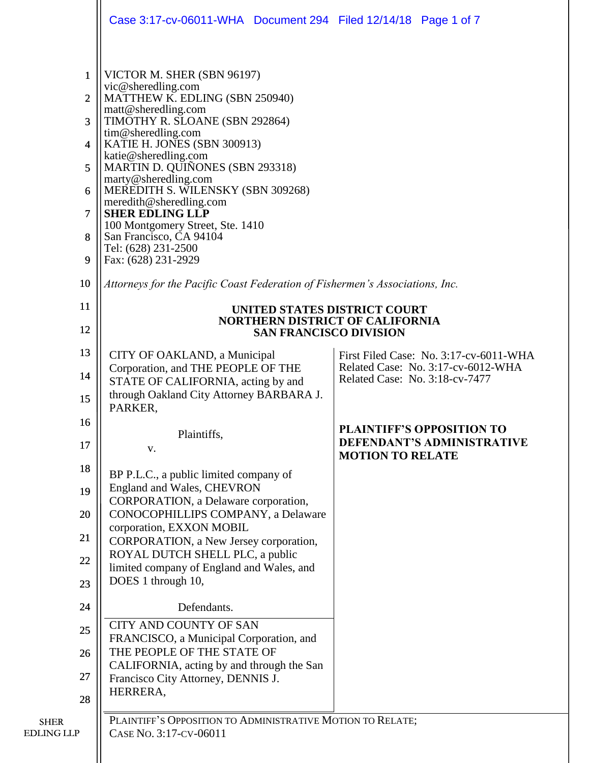|                                  |                | Case 3:17-cv-06011-WHA Document 294 Filed 12/14/18 Page 1 of 7                       |                                                                      |  |
|----------------------------------|----------------|--------------------------------------------------------------------------------------|----------------------------------------------------------------------|--|
|                                  |                |                                                                                      |                                                                      |  |
|                                  | 1              | VICTOR M. SHER (SBN 96197)<br>vic@sheredling.com                                     |                                                                      |  |
|                                  | $\overline{2}$ | MATTHEW K. EDLING (SBN 250940)<br>matt@sheredling.com                                |                                                                      |  |
|                                  | 3              | TIMOTHY R. SLOANE (SBN 292864)                                                       |                                                                      |  |
|                                  | 4              | tim@sheredling.com<br>KATIE H. JONES (SBN 300913)                                    |                                                                      |  |
|                                  | 5              | katie@sheredling.com<br>MARTIN D. QUIÑONES (SBN 293318)                              |                                                                      |  |
|                                  | 6              | marty@sheredling.com<br>MEREDITH S. WILENSKY (SBN 309268)                            |                                                                      |  |
|                                  | $\overline{7}$ | meredith@sheredling.com<br><b>SHER EDLING LLP</b>                                    |                                                                      |  |
|                                  | 8              | 100 Montgomery Street, Ste. 1410<br>San Francisco, CA 94104                          |                                                                      |  |
|                                  | 9              | Tel: (628) 231-2500<br>Fax: (628) 231-2929                                           |                                                                      |  |
|                                  | 10             | Attorneys for the Pacific Coast Federation of Fishermen's Associations, Inc.         |                                                                      |  |
|                                  | 11             | UNITED STATES DISTRICT COURT                                                         |                                                                      |  |
|                                  | 12             | <b>NORTHERN DISTRICT OF CALIFORNIA</b><br><b>SAN FRANCISCO DIVISION</b>              |                                                                      |  |
|                                  | 13             | CITY OF OAKLAND, a Municipal                                                         | First Filed Case: No. 3:17-cv-6011-WHA                               |  |
|                                  | 14             | Corporation, and THE PEOPLE OF THE<br>STATE OF CALIFORNIA, acting by and             | Related Case: No. 3:17-cv-6012-WHA<br>Related Case: No. 3:18-cv-7477 |  |
|                                  | 15             | through Oakland City Attorney BARBARA J.<br>PARKER,                                  |                                                                      |  |
|                                  | 16             |                                                                                      | <b>PLAINTIFF'S OPPOSITION TO</b>                                     |  |
|                                  | 17             | Plaintiffs,<br>V.                                                                    | <b>DEFENDANT'S ADMINISTRATIVE</b><br><b>MOTION TO RELATE</b>         |  |
|                                  | 18             | BP P.L.C., a public limited company of                                               |                                                                      |  |
|                                  | 19             | England and Wales, CHEVRON<br>CORPORATION, a Delaware corporation,                   |                                                                      |  |
|                                  | 20             | CONOCOPHILLIPS COMPANY, a Delaware                                                   |                                                                      |  |
|                                  | 21             | corporation, EXXON MOBIL<br>CORPORATION, a New Jersey corporation,                   |                                                                      |  |
|                                  | 22             | ROYAL DUTCH SHELL PLC, a public                                                      |                                                                      |  |
|                                  | 23             | limited company of England and Wales, and<br>DOES 1 through 10,                      |                                                                      |  |
|                                  | 24             | Defendants.                                                                          |                                                                      |  |
|                                  | 25             | <b>CITY AND COUNTY OF SAN</b><br>FRANCISCO, a Municipal Corporation, and             |                                                                      |  |
|                                  | 26             | THE PEOPLE OF THE STATE OF                                                           |                                                                      |  |
|                                  | 27             | CALIFORNIA, acting by and through the San<br>Francisco City Attorney, DENNIS J.      |                                                                      |  |
|                                  | 28             | HERRERA,                                                                             |                                                                      |  |
| <b>SHER</b><br><b>EDLING LLP</b> |                | PLAINTIFF'S OPPOSITION TO ADMINISTRATIVE MOTION TO RELATE;<br>CASE No. 3:17-CV-06011 |                                                                      |  |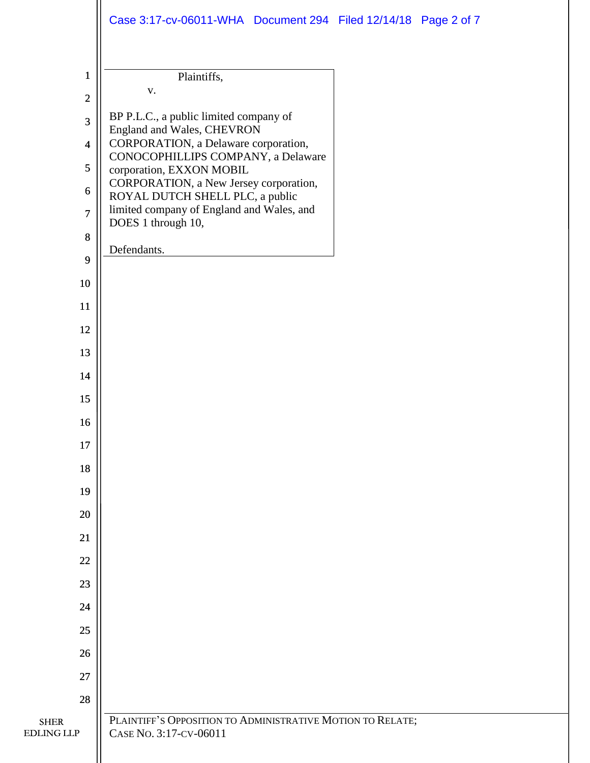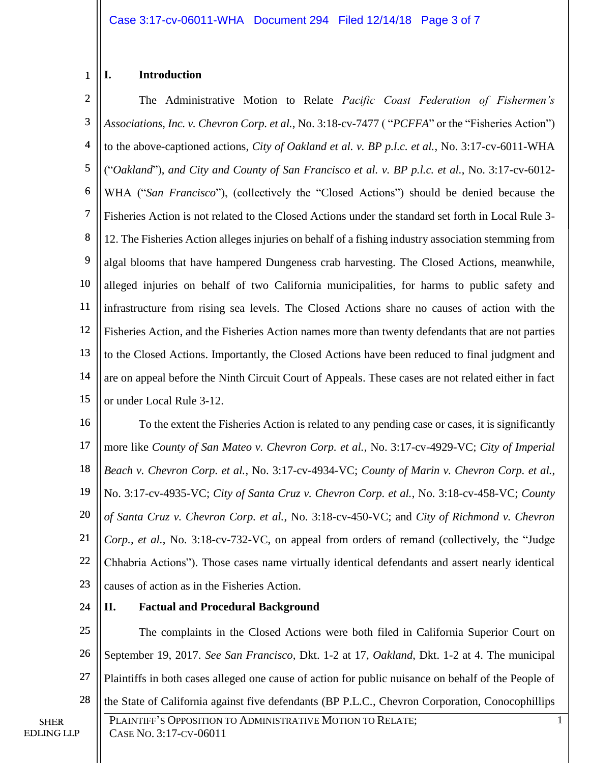#### 1 **I. Introduction**

2 3 4 5 6 7 8 9 10 11 12 13 14 15 The Administrative Motion to Relate *Pacific Coast Federation of Fishermen's Associations, Inc. v. Chevron Corp. et al.*, No. 3:18-cv-7477 ( "*PCFFA*" or the "Fisheries Action") to the above-captioned actions, *City of Oakland et al. v. BP p.l.c. et al.*, No. 3:17-cv-6011-WHA ("*Oakland*"), *and City and County of San Francisco et al. v. BP p.l.c. et al.*, No. 3:17-cv-6012- WHA ("*San Francisco*"), (collectively the "Closed Actions") should be denied because the Fisheries Action is not related to the Closed Actions under the standard set forth in Local Rule 3- 12. The Fisheries Action alleges injuries on behalf of a fishing industry association stemming from algal blooms that have hampered Dungeness crab harvesting. The Closed Actions, meanwhile, alleged injuries on behalf of two California municipalities, for harms to public safety and infrastructure from rising sea levels. The Closed Actions share no causes of action with the Fisheries Action, and the Fisheries Action names more than twenty defendants that are not parties to the Closed Actions. Importantly, the Closed Actions have been reduced to final judgment and are on appeal before the Ninth Circuit Court of Appeals. These cases are not related either in fact or under Local Rule 3-12.

16 17 18 19 20 21 22 23 To the extent the Fisheries Action is related to any pending case or cases, it is significantly more like *County of San Mateo v. Chevron Corp. et al.*, No. 3:17-cv-4929-VC; *City of Imperial Beach v. Chevron Corp. et al.*, No. 3:17-cv-4934-VC; *County of Marin v. Chevron Corp. et al.*, No. 3:17-cv-4935-VC; *City of Santa Cruz v. Chevron Corp. et al.*, No. 3:18-cv-458-VC; *County of Santa Cruz v. Chevron Corp. et al.*, No. 3:18-cv-450-VC; and *City of Richmond v. Chevron Corp., et al.*, No. 3:18-cv-732-VC, on appeal from orders of remand (collectively, the "Judge Chhabria Actions"). Those cases name virtually identical defendants and assert nearly identical causes of action as in the Fisheries Action.

24

## **II. Factual and Procedural Background**

25 26 27 28 The complaints in the Closed Actions were both filed in California Superior Court on September 19, 2017. *See San Francisco*, Dkt. 1-2 at 17, *Oakland*, Dkt. 1-2 at 4. The municipal Plaintiffs in both cases alleged one cause of action for public nuisance on behalf of the People of the State of California against five defendants (BP P.L.C., Chevron Corporation, Conocophillips

PLAINTIFF'S OPPOSITION TO ADMINISTRATIVE MOTION TO RELATE; CASE NO. 3:17-CV-06011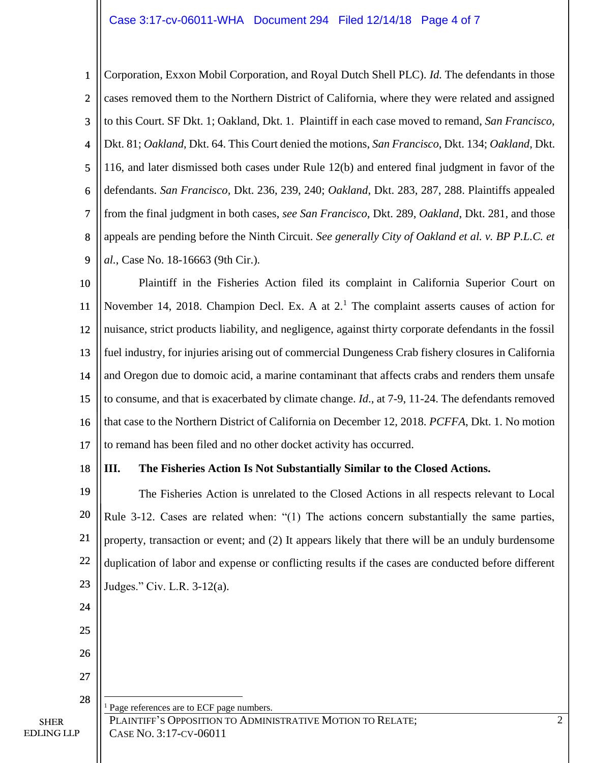#### Case 3:17-cv-06011-WHA Document 294 Filed 12/14/18 Page 4 of 7

1 2 3 4 5 6 7 8 9 Corporation, Exxon Mobil Corporation, and Royal Dutch Shell PLC). *Id.* The defendants in those cases removed them to the Northern District of California, where they were related and assigned to this Court. SF Dkt. 1; Oakland, Dkt. 1. Plaintiff in each case moved to remand, *San Francisco*, Dkt. 81; *Oakland*, Dkt. 64. This Court denied the motions, *San Francisco*, Dkt. 134; *Oakland*, Dkt. 116, and later dismissed both cases under Rule 12(b) and entered final judgment in favor of the defendants. *San Francisco,* Dkt. 236, 239, 240; *Oakland*, Dkt. 283, 287, 288. Plaintiffs appealed from the final judgment in both cases, *see San Francisco*, Dkt. 289, *Oakland*, Dkt. 281, and those appeals are pending before the Ninth Circuit. *See generally City of Oakland et al. v. BP P.L.C. et al.*, Case No. 18-16663 (9th Cir.).

10 11 12 13 14 15 16 17 Plaintiff in the Fisheries Action filed its complaint in California Superior Court on November 14, 2018. Champion Decl. Ex. A at  $2<sup>1</sup>$ . The complaint asserts causes of action for nuisance, strict products liability, and negligence, against thirty corporate defendants in the fossil fuel industry, for injuries arising out of commercial Dungeness Crab fishery closures in California and Oregon due to domoic acid, a marine contaminant that affects crabs and renders them unsafe to consume, and that is exacerbated by climate change. *Id*., at 7-9, 11-24. The defendants removed that case to the Northern District of California on December 12, 2018. *PCFFA*, Dkt. 1. No motion to remand has been filed and no other docket activity has occurred.

18

24

25

26

27

28

 $\overline{a}$ 

SHER EDLING LLP

#### **III. The Fisheries Action Is Not Substantially Similar to the Closed Actions.**

19 20 21 22 23 The Fisheries Action is unrelated to the Closed Actions in all respects relevant to Local Rule 3-12. Cases are related when: "(1) The actions concern substantially the same parties, property, transaction or event; and (2) It appears likely that there will be an unduly burdensome duplication of labor and expense or conflicting results if the cases are conducted before different Judges." Civ. L.R. 3-12(a).

PLAINTIFF'S OPPOSITION TO ADMINISTRATIVE MOTION TO RELATE; CASE NO. 3:17-CV-06011 Page references are to ECF page numbers.

2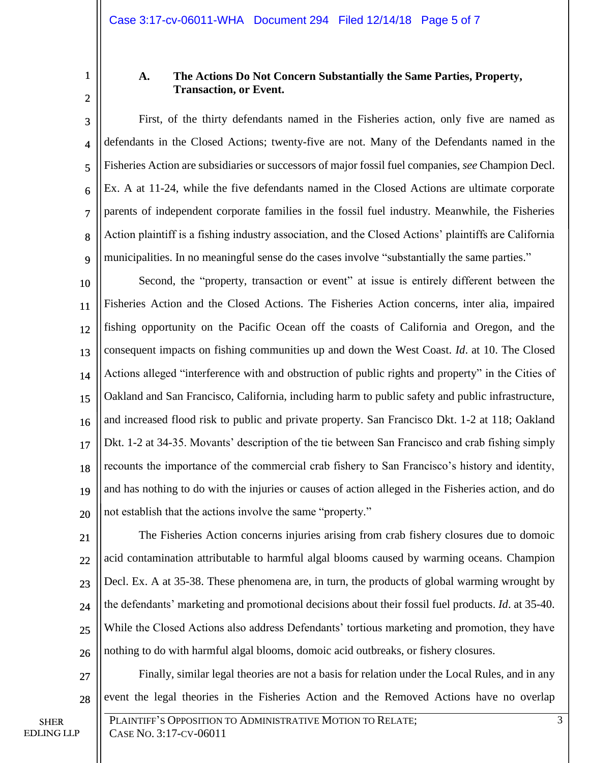1 2

### **A. The Actions Do Not Concern Substantially the Same Parties, Property, Transaction, or Event.**

3 4 5 6 7 8 9 First, of the thirty defendants named in the Fisheries action, only five are named as defendants in the Closed Actions; twenty-five are not. Many of the Defendants named in the Fisheries Action are subsidiaries or successors of major fossil fuel companies, *see* Champion Decl. Ex. A at 11-24, while the five defendants named in the Closed Actions are ultimate corporate parents of independent corporate families in the fossil fuel industry. Meanwhile, the Fisheries Action plaintiff is a fishing industry association, and the Closed Actions' plaintiffs are California municipalities. In no meaningful sense do the cases involve "substantially the same parties."

10 11 12 13 14 15 16 17 18 19 20 Second, the "property, transaction or event" at issue is entirely different between the Fisheries Action and the Closed Actions. The Fisheries Action concerns, inter alia, impaired fishing opportunity on the Pacific Ocean off the coasts of California and Oregon, and the consequent impacts on fishing communities up and down the West Coast. *Id*. at 10. The Closed Actions alleged "interference with and obstruction of public rights and property" in the Cities of Oakland and San Francisco, California, including harm to public safety and public infrastructure, and increased flood risk to public and private property. San Francisco Dkt. 1-2 at 118; Oakland Dkt. 1-2 at 34-35. Movants' description of the tie between San Francisco and crab fishing simply recounts the importance of the commercial crab fishery to San Francisco's history and identity, and has nothing to do with the injuries or causes of action alleged in the Fisheries action, and do not establish that the actions involve the same "property."

21  $22$ 23 24 25 26 The Fisheries Action concerns injuries arising from crab fishery closures due to domoic acid contamination attributable to harmful algal blooms caused by warming oceans. Champion Decl. Ex. A at 35-38. These phenomena are, in turn, the products of global warming wrought by the defendants' marketing and promotional decisions about their fossil fuel products. *Id*. at 35-40. While the Closed Actions also address Defendants' tortious marketing and promotion, they have nothing to do with harmful algal blooms, domoic acid outbreaks, or fishery closures.

Finally, similar legal theories are not a basis for relation under the Local Rules, and in any event the legal theories in the Fisheries Action and the Removed Actions have no overlap

27

28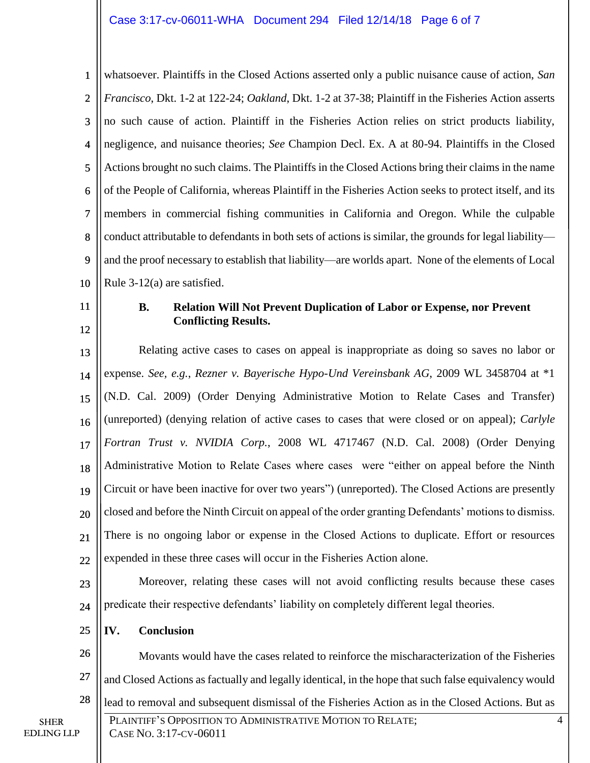#### Case 3:17-cv-06011-WHA Document 294 Filed 12/14/18 Page 6 of 7

1 2 3 4 5 6 7 8 9 10 whatsoever. Plaintiffs in the Closed Actions asserted only a public nuisance cause of action, *San Francisco*, Dkt. 1-2 at 122-24; *Oakland*, Dkt. 1-2 at 37-38; Plaintiff in the Fisheries Action asserts no such cause of action. Plaintiff in the Fisheries Action relies on strict products liability, negligence, and nuisance theories; *See* Champion Decl. Ex. A at 80-94. Plaintiffs in the Closed Actions brought no such claims. The Plaintiffs in the Closed Actions bring their claims in the name of the People of California, whereas Plaintiff in the Fisheries Action seeks to protect itself, and its members in commercial fishing communities in California and Oregon. While the culpable conduct attributable to defendants in both sets of actions is similar, the grounds for legal liability and the proof necessary to establish that liability—are worlds apart. None of the elements of Local Rule 3-12(a) are satisfied.

11 12

#### **B. Relation Will Not Prevent Duplication of Labor or Expense, nor Prevent Conflicting Results.**

13 14 15 16 17 18 19 20 21  $22$ Relating active cases to cases on appeal is inappropriate as doing so saves no labor or expense. *See, e.g.*, *Rezner v. Bayerische Hypo-Und Vereinsbank AG*, 2009 WL 3458704 at \*1 (N.D. Cal. 2009) (Order Denying Administrative Motion to Relate Cases and Transfer) (unreported) (denying relation of active cases to cases that were closed or on appeal); *Carlyle Fortran Trust v. NVIDIA Corp.*, 2008 WL 4717467 (N.D. Cal. 2008) (Order Denying Administrative Motion to Relate Cases where cases were "either on appeal before the Ninth Circuit or have been inactive for over two years") (unreported). The Closed Actions are presently closed and before the Ninth Circuit on appeal of the order granting Defendants' motions to dismiss. There is no ongoing labor or expense in the Closed Actions to duplicate. Effort or resources expended in these three cases will occur in the Fisheries Action alone.

23

24

26

27

Moreover, relating these cases will not avoid conflicting results because these cases predicate their respective defendants' liability on completely different legal theories.

Movants would have the cases related to reinforce the mischaracterization of the Fisheries

and Closed Actions as factually and legally identical, in the hope that such false equivalency would

25 **IV. Conclusion**

SHER

EDLING LLP

#### 28 lead to removal and subsequent dismissal of the Fisheries Action as in the Closed Actions. But as